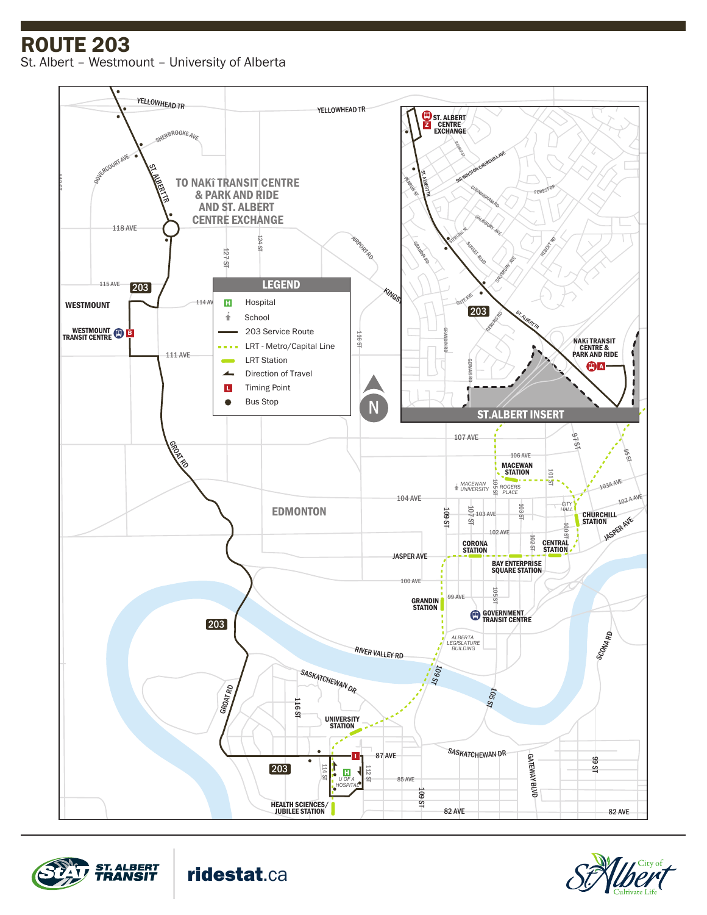ROUTE 203

St. Albert – Westmount – University of Alberta